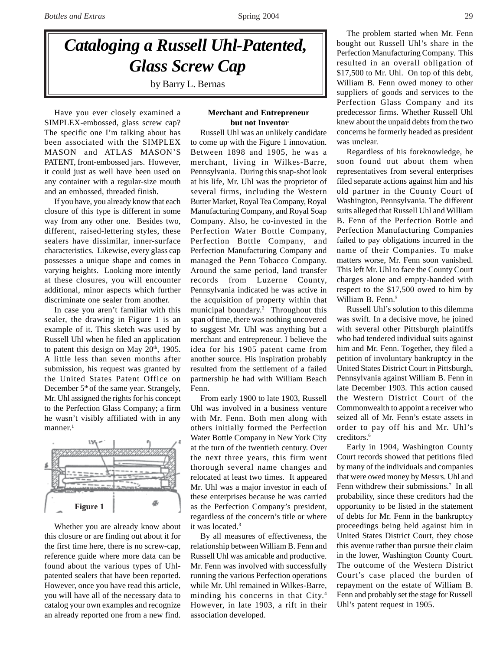# *Cataloging a Russell Uhl-Patented, Glass Screw Cap*

by Barry L. Bernas

Have you ever closely examined a SIMPLEX-embossed, glass screw cap? The specific one I'm talking about has been associated with the SIMPLEX MASON and ATLAS MASON'S PATENT, front-embossed jars. However, it could just as well have been used on any container with a regular-size mouth and an embossed, threaded finish.

If you have, you already know that each closure of this type is different in some way from any other one. Besides two, different, raised-lettering styles, these sealers have dissimilar, inner-surface characteristics. Likewise, every glass cap possesses a unique shape and comes in varying heights. Looking more intently at these closures, you will encounter additional, minor aspects which further discriminate one sealer from another.

In case you aren't familiar with this sealer, the drawing in Figure 1 is an example of it. This sketch was used by Russell Uhl when he filed an application to patent this design on May  $20<sup>th</sup>$ , 1905. A little less than seven months after submission, his request was granted by the United States Patent Office on December 5<sup>th</sup> of the same year. Strangely, Mr. Uhl assigned the rights for his concept to the Perfection Glass Company; a firm he wasn't visibly affiliated with in any manner.<sup>1</sup>



Whether you are already know about this closure or are finding out about it for the first time here, there is no screw-cap, reference guide where more data can be found about the various types of Uhlpatented sealers that have been reported. However, once you have read this article, you will have all of the necessary data to catalog your own examples and recognize an already reported one from a new find.

# **Merchant and Entrepreneur but not Inventor**

Russell Uhl was an unlikely candidate to come up with the Figure 1 innovation. Between 1898 and 1905, he was a merchant, living in Wilkes-Barre, Pennsylvania. During this snap-shot look at his life, Mr. Uhl was the proprietor of several firms, including the Western Butter Market, Royal Tea Company, Royal Manufacturing Company, and Royal Soap Company. Also, he co-invested in the Perfection Water Bottle Company, Perfection Bottle Company, and Perfection Manufacturing Company and managed the Penn Tobacco Company. Around the same period, land transfer records from Luzerne County, Pennsylvania indicated he was active in the acquisition of property within that municipal boundary.<sup>2</sup> Throughout this span of time, there was nothing uncovered to suggest Mr. Uhl was anything but a merchant and entrepreneur. I believe the idea for his 1905 patent came from another source. His inspiration probably resulted from the settlement of a failed partnership he had with William Beach Fenn.

From early 1900 to late 1903, Russell Uhl was involved in a business venture with Mr. Fenn. Both men along with others initially formed the Perfection Water Bottle Company in New York City at the turn of the twentieth century. Over the next three years, this firm went thorough several name changes and relocated at least two times. It appeared Mr. Uhl was a major investor in each of these enterprises because he was carried as the Perfection Company's president, regardless of the concern's title or where it was located.<sup>3</sup>

By all measures of effectiveness, the relationship between William B. Fenn and Russell Uhl was amicable and productive. Mr. Fenn was involved with successfully running the various Perfection operations while Mr. Uhl remained in Wilkes-Barre, minding his concerns in that City.4 However, in late 1903, a rift in their association developed.

The problem started when Mr. Fenn bought out Russell Uhl's share in the Perfection Manufacturing Company. This resulted in an overall obligation of \$17,500 to Mr. Uhl. On top of this debt, William B. Fenn owed money to other suppliers of goods and services to the Perfection Glass Company and its predecessor firms. Whether Russell Uhl knew about the unpaid debts from the two concerns he formerly headed as president was unclear.

Regardless of his foreknowledge, he soon found out about them when representatives from several enterprises filed separate actions against him and his old partner in the County Court of Washington, Pennsylvania. The different suits alleged that Russell Uhl and William B. Fenn of the Perfection Bottle and Perfection Manufacturing Companies failed to pay obligations incurred in the name of their Companies. To make matters worse, Mr. Fenn soon vanished. This left Mr. Uhl to face the County Court charges alone and empty-handed with respect to the \$17,500 owed to him by William B. Fenn.<sup>5</sup>

Russell Uhl's solution to this dilemma was swift. In a decisive move, he joined with several other Pittsburgh plaintiffs who had tendered individual suits against him and Mr. Fenn. Together, they filed a petition of involuntary bankruptcy in the United States District Court in Pittsburgh, Pennsylvania against William B. Fenn in late December 1903. This action caused the Western District Court of the Commonwealth to appoint a receiver who seized all of Mr. Fenn's estate assets in order to pay off his and Mr. Uhl's creditors.<sup>6</sup>

Early in 1904, Washington County Court records showed that petitions filed by many of the individuals and companies that were owed money by Messrs. Uhl and Fenn withdrew their submissions.<sup>7</sup> In all probability, since these creditors had the opportunity to be listed in the statement of debts for Mr. Fenn in the bankruptcy proceedings being held against him in United States District Court, they chose this avenue rather than pursue their claim in the lower, Washington County Court. The outcome of the Western District Court's case placed the burden of repayment on the estate of William B. Fenn and probably set the stage for Russell Uhl's patent request in 1905.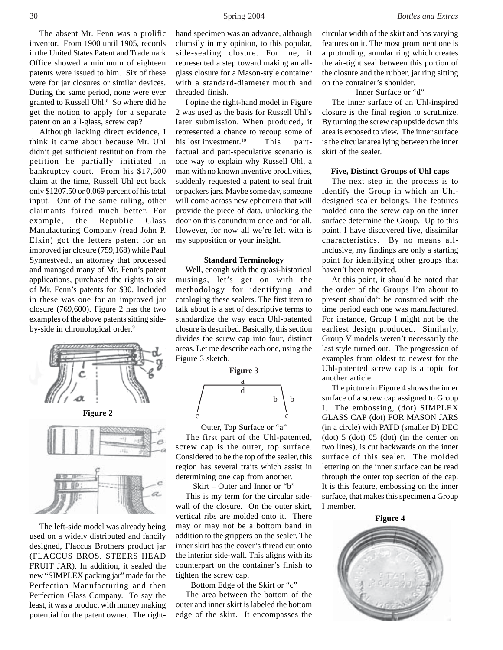The absent Mr. Fenn was a prolific inventor. From 1900 until 1905, records in the United States Patent and Trademark Office showed a minimum of eighteen patents were issued to him. Six of these were for jar closures or similar devices. During the same period, none were ever granted to Russell Uhl.<sup>8</sup> So where did he get the notion to apply for a separate patent on an all-glass, screw cap?

Although lacking direct evidence, I think it came about because Mr. Uhl didn't get sufficient restitution from the petition he partially initiated in bankruptcy court. From his \$17,500 claim at the time, Russell Uhl got back only \$1207.50 or 0.069 percent of his total input. Out of the same ruling, other claimants faired much better. For example, the Republic Glass Manufacturing Company (read John P. Elkin) got the letters patent for an improved jar closure (759,168) while Paul Synnestvedt, an attorney that processed and managed many of Mr. Fenn's patent applications, purchased the rights to six of Mr. Fenn's patents for \$30. Included in these was one for an improved jar closure (769,600). Figure 2 has the two examples of the above patents sitting sideby-side in chronological order.<sup>9</sup>





The left-side model was already being used on a widely distributed and fancily designed, Flaccus Brothers product jar (FLACCUS BROS. STEERS HEAD FRUIT JAR). In addition, it sealed the new "SIMPLEX packing jar" made for the Perfection Manufacturing and then Perfection Glass Company. To say the least, it was a product with money making potential for the patent owner. The righthand specimen was an advance, although clumsily in my opinion, to this popular, side-sealing closure. For me, it represented a step toward making an allglass closure for a Mason-style container with a standard-diameter mouth and threaded finish.

I opine the right-hand model in Figure 2 was used as the basis for Russell Uhl's later submission. When produced, it represented a chance to recoup some of his lost investment.<sup>10</sup> This partfactual and part-speculative scenario is one way to explain why Russell Uhl, a man with no known inventive proclivities, suddenly requested a patent to seal fruit or packers jars. Maybe some day, someone will come across new ephemera that will provide the piece of data, unlocking the door on this conundrum once and for all. However, for now all we're left with is my supposition or your insight.

# **Standard Terminology**

Well, enough with the quasi-historical musings, let's get on with the methodology for identifying and cataloging these sealers. The first item to talk about is a set of descriptive terms to standardize the way each Uhl-patented closure is described. Basically, this section divides the screw cap into four, distinct areas. Let me describe each one, using the Figure 3 sketch.



Outer, Top Surface or "a"

The first part of the Uhl-patented, screw cap is the outer, top surface. Considered to be the top of the sealer, this region has several traits which assist in determining one cap from another.

Skirt – Outer and Inner or "b"

This is my term for the circular sidewall of the closure. On the outer skirt, vertical ribs are molded onto it. There may or may not be a bottom band in addition to the grippers on the sealer. The inner skirt has the cover's thread cut onto the interior side-wall. This aligns with its counterpart on the container's finish to tighten the screw cap.

Bottom Edge of the Skirt or "c"

The area between the bottom of the outer and inner skirt is labeled the bottom edge of the skirt. It encompasses the circular width of the skirt and has varying features on it. The most prominent one is a protruding, annular ring which creates the air-tight seal between this portion of the closure and the rubber, jar ring sitting on the container's shoulder.

#### Inner Surface or "d"

The inner surface of an Uhl-inspired closure is the final region to scrutinize. By turning the screw cap upside down this area is exposed to view. The inner surface is the circular area lying between the inner skirt of the sealer.

# **Five, Distinct Groups of Uhl caps**

The next step in the process is to identify the Group in which an Uhldesigned sealer belongs. The features molded onto the screw cap on the inner surface determine the Group. Up to this point, I have discovered five, dissimilar characteristics. By no means allinclusive, my findings are only a starting point for identifying other groups that haven't been reported.

At this point, it should be noted that the order of the Groups I'm about to present shouldn't be construed with the time period each one was manufactured. For instance, Group I might not be the earliest design produced. Similarly, Group V models weren't necessarily the last style turned out. The progression of examples from oldest to newest for the Uhl-patented screw cap is a topic for another article.

The picture in Figure 4 shows the inner surface of a screw cap assigned to Group I. The embossing, (dot) SIMPLEX GLASS CAP (dot) FOR MASON JARS (in a circle) with  $PATD$  (smaller D) DEC (dot) 5 (dot) 05 (dot) (in the center on two lines), is cut backwards on the inner surface of this sealer. The molded lettering on the inner surface can be read through the outer top section of the cap. It is this feature, embossing on the inner surface, that makes this specimen a Group I member.

**Figure 4**

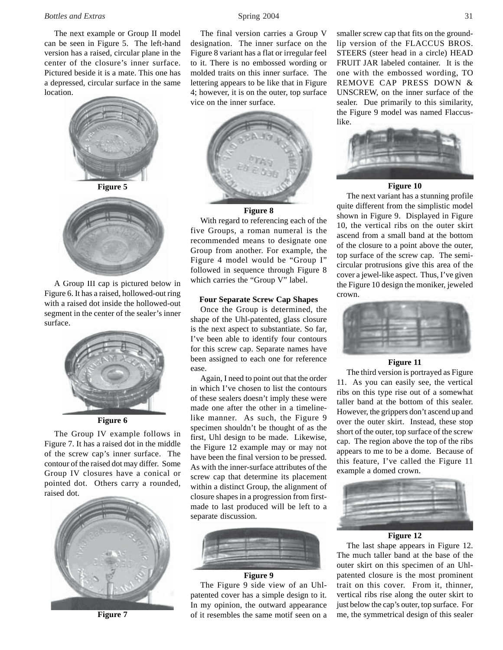#### *Bottles and Extras* 31 **31 Spring 2004** 31

The next example or Group II model can be seen in Figure 5. The left-hand version has a raised, circular plane in the center of the closure's inner surface. Pictured beside it is a mate. This one has a depressed, circular surface in the same location.



A Group III cap is pictured below in Figure 6. It has a raised, hollowed-out ring with a raised dot inside the hollowed-out segment in the center of the sealer's inner surface.



**Figure 6**

The Group IV example follows in Figure 7. It has a raised dot in the middle of the screw cap's inner surface. The contour of the raised dot may differ. Some Group IV closures have a conical or pointed dot. Others carry a rounded, raised dot.



**Figure 7**

The final version carries a Group V designation. The inner surface on the Figure 8 variant has a flat or irregular feel to it. There is no embossed wording or molded traits on this inner surface. The lettering appears to be like that in Figure 4; however, it is on the outer, top surface vice on the inner surface.



## **Figure 8**

With regard to referencing each of the five Groups, a roman numeral is the recommended means to designate one Group from another. For example, the Figure 4 model would be "Group I" followed in sequence through Figure 8 which carries the "Group V" label.

#### **Four Separate Screw Cap Shapes**

Once the Group is determined, the shape of the Uhl-patented, glass closure is the next aspect to substantiate. So far, I've been able to identify four contours for this screw cap. Separate names have been assigned to each one for reference ease.

Again, I need to point out that the order in which I've chosen to list the contours of these sealers doesn't imply these were made one after the other in a timelinelike manner. As such, the Figure 9 specimen shouldn't be thought of as the first, Uhl design to be made. Likewise, the Figure 12 example may or may not have been the final version to be pressed. As with the inner-surface attributes of the screw cap that determine its placement within a distinct Group, the alignment of closure shapes in a progression from firstmade to last produced will be left to a separate discussion.



The Figure 9 side view of an Uhlpatented cover has a simple design to it. In my opinion, the outward appearance of it resembles the same motif seen on a

smaller screw cap that fits on the groundlip version of the FLACCUS BROS. STEERS (steer head in a circle) HEAD FRUIT JAR labeled container. It is the one with the embossed wording, TO REMOVE CAP PRESS DOWN & UNSCREW, on the inner surface of the sealer. Due primarily to this similarity, the Figure 9 model was named Flaccuslike.



#### **Figure 10**

The next variant has a stunning profile quite different from the simplistic model shown in Figure 9. Displayed in Figure 10, the vertical ribs on the outer skirt ascend from a small band at the bottom of the closure to a point above the outer, top surface of the screw cap. The semicircular protrusions give this area of the cover a jewel-like aspect. Thus, I've given the Figure 10 design the moniker, jeweled crown.



# **Figure 11**

The third version is portrayed as Figure 11. As you can easily see, the vertical ribs on this type rise out of a somewhat taller band at the bottom of this sealer. However, the grippers don't ascend up and over the outer skirt. Instead, these stop short of the outer, top surface of the screw cap. The region above the top of the ribs appears to me to be a dome. Because of this feature, I've called the Figure 11 example a domed crown.



# **Figure 12**

The last shape appears in Figure 12. The much taller band at the base of the outer skirt on this specimen of an Uhlpatented closure is the most prominent trait on this cover. From it, thinner, vertical ribs rise along the outer skirt to just below the cap's outer, top surface. For me, the symmetrical design of this sealer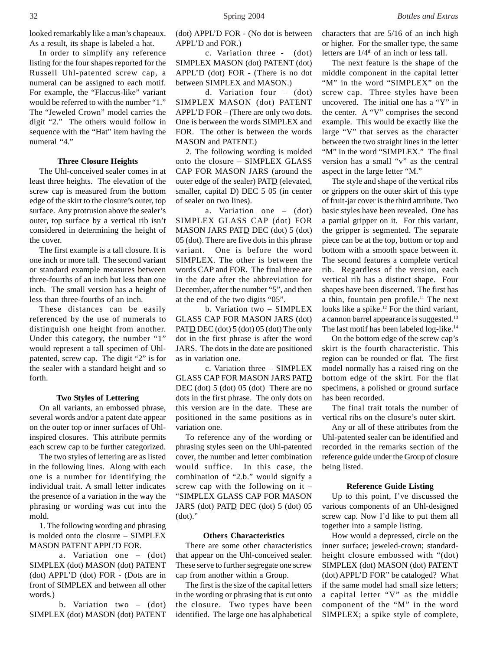In order to simplify any reference listing for the four shapes reported for the Russell Uhl-patented screw cap, a numeral can be assigned to each motif. For example, the "Flaccus-like" variant would be referred to with the number "1." The "Jeweled Crown" model carries the digit "2." The others would follow in sequence with the "Hat" item having the numeral "4."

# **Three Closure Heights**

The Uhl-conceived sealer comes in at least three heights. The elevation of the screw cap is measured from the bottom edge of the skirt to the closure's outer, top surface. Any protrusion above the sealer's outer, top surface by a vertical rib isn't considered in determining the height of the cover.

The first example is a tall closure. It is one inch or more tall. The second variant or standard example measures between three-fourths of an inch but less than one inch. The small version has a height of less than three-fourths of an inch.

These distances can be easily referenced by the use of numerals to distinguish one height from another. Under this category, the number "1" would represent a tall specimen of Uhlpatented, screw cap. The digit "2" is for the sealer with a standard height and so forth.

#### **Two Styles of Lettering**

On all variants, an embossed phrase, several words and/or a patent date appear on the outer top or inner surfaces of Uhlinspired closures. This attribute permits each screw cap to be further categorized.

The two styles of lettering are as listed in the following lines. Along with each one is a number for identifying the individual trait. A small letter indicates the presence of a variation in the way the phrasing or wording was cut into the mold.

1. The following wording and phrasing is molded onto the closure – SIMPLEX MASON PATENT APPL'D FOR.

a. Variation one – (dot) SIMPLEX (dot) MASON (dot) PATENT (dot) APPL'D (dot) FOR - (Dots are in front of SIMPLEX and between all other words.)

b. Variation two – (dot) SIMPLEX (dot) MASON (dot) PATENT (dot) APPL'D FOR - (No dot is between APPL'D and FOR.)

c. Variation three - (dot) SIMPLEX MASON (dot) PATENT (dot) APPL'D (dot) FOR - (There is no dot between SIMPLEX and MASON.)

d. Variation four – (dot) SIMPLEX MASON (dot) PATENT APPL'D FOR – (There are only two dots. One is between the words SIMPLEX and FOR. The other is between the words MASON and PATENT.)

2. The following wording is molded onto the closure – SIMPLEX GLASS CAP FOR MASON JARS (around the outer edge of the sealer) PATD (elevated, smaller, capital D) DEC 5 05 (in center of sealer on two lines).

a. Variation one – (dot) SIMPLEX GLASS CAP (dot) FOR MASON JARS PATD DEC (dot) 5 (dot) 05 (dot). There are five dots in this phrase variant. One is before the word SIMPLEX. The other is between the words CAP and FOR. The final three are in the date after the abbreviation for December, after the number "5", and then at the end of the two digits "05".

b. Variation two – SIMPLEX GLASS CAP FOR MASON JARS (dot) PATD DEC (dot) 5 (dot) 05 (dot) The only dot in the first phrase is after the word JARS. The dots in the date are positioned as in variation one.

c. Variation three – SIMPLEX GLASS CAP FOR MASON JARS PATD DEC (dot) 5 (dot) 05 (dot) There are no dots in the first phrase. The only dots on this version are in the date. These are positioned in the same positions as in variation one.

To reference any of the wording or phrasing styles seen on the Uhl-patented cover, the number and letter combination would suffice. In this case, the combination of "2.b." would signify a screw cap with the following on it – "SIMPLEX GLASS CAP FOR MASON JARS (dot) PATD DEC (dot) 5 (dot) 05  $(dot)$ ."

#### **Others Characteristics**

There are some other characteristics that appear on the Uhl-conceived sealer. These serve to further segregate one screw cap from another within a Group.

The first is the size of the capital letters in the wording or phrasing that is cut onto the closure. Two types have been identified. The large one has alphabetical characters that are 5/16 of an inch high or higher. For the smaller type, the same letters are  $1/4<sup>th</sup>$  of an inch or less tall.

The next feature is the shape of the middle component in the capital letter "M" in the word "SIMPLEX" on the screw cap. Three styles have been uncovered. The initial one has a "Y" in the center. A "V" comprises the second example. This would be exactly like the large "V" that serves as the character between the two straight lines in the letter "M" in the word "SIMPLEX." The final version has a small "v" as the central aspect in the large letter "M."

The style and shape of the vertical ribs or grippers on the outer skirt of this type of fruit-jar cover is the third attribute. Two basic styles have been revealed. One has a partial gripper on it. For this variant, the gripper is segmented. The separate piece can be at the top, bottom or top and bottom with a smooth space between it. The second features a complete vertical rib. Regardless of the version, each vertical rib has a distinct shape. Four shapes have been discerned. The first has a thin, fountain pen profile.<sup>11</sup> The next looks like a spike.<sup>12</sup> For the third variant, a cannon barrel appearance is suggested.<sup>13</sup> The last motif has been labeled log-like.<sup>14</sup>

On the bottom edge of the screw cap's skirt is the fourth characteristic. This region can be rounded or flat. The first model normally has a raised ring on the bottom edge of the skirt. For the flat specimens, a polished or ground surface has been recorded.

The final trait totals the number of vertical ribs on the closure's outer skirt.

Any or all of these attributes from the Uhl-patented sealer can be identified and recorded in the remarks section of the reference guide under the Group of closure being listed.

#### **Reference Guide Listing**

Up to this point, I've discussed the various components of an Uhl-designed screw cap. Now I'd like to put them all together into a sample listing.

How would a depressed, circle on the inner surface; jeweled-crown; standardheight closure embossed with "(dot) SIMPLEX (dot) MASON (dot) PATENT (dot) APPL'D FOR" be cataloged? What if the same model had small size letters; a capital letter "V" as the middle component of the "M" in the word SIMPLEX; a spike style of complete,